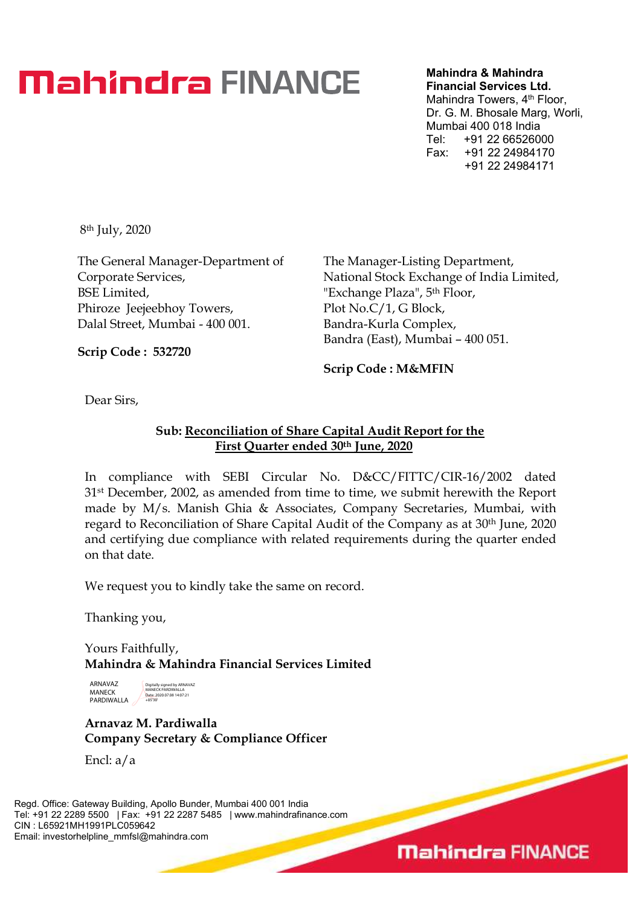## **Mahindra FINANCE**

Mahindra & Mahindra Financial Services Ltd.

Mahindra Towers, 4<sup>th</sup> Floor, Dr. G. M. Bhosale Marg, Worli, Mumbai 400 018 India Tel: +91 22 66526000 Fax: +91 22 24984170 +91 22 24984171

8th July, 2020

The General Manager-Department of Corporate Services, BSE Limited, Phiroze Jeejeebhoy Towers, Dalal Street, Mumbai - 400 001.

The Manager-Listing Department, National Stock Exchange of India Limited, "Exchange Plaza", 5th Floor, Plot No.C/1, G Block, Bandra-Kurla Complex, Bandra (East), Mumbai – 400 051.

Scrip Code : 532720

Scrip Code : M&MFIN

Dear Sirs,

## Sub: Reconciliation of Share Capital Audit Report for the First Quarter ended 30th June, 2020

In compliance with SEBI Circular No. D&CC/FITTC/CIR-16/2002 dated 31st December, 2002, as amended from time to time, we submit herewith the Report made by M/s. Manish Ghia & Associates, Company Secretaries, Mumbai, with regard to Reconciliation of Share Capital Audit of the Company as at 30th June, 2020 and certifying due compliance with related requirements during the quarter ended on that date.

We request you to kindly take the same on record.

Thanking you,

Yours Faithfully, Mahindra & Mahindra Financial Services Limited



Digitally signed by ARNAVAZ MANECK PARDIWALLA Date: 2020.07.08 14:07:21 +05'30'

Arnavaz M. Pardiwalla Company Secretary & Compliance Officer

Encl: a/a

Regd. Office: Gateway Building, Apollo Bunder, Mumbai 400 001 India Tel: +91 22 2289 5500 | Fax: +91 22 2287 5485 | www.mahindrafinance.com CIN : L65921MH1991PLC059642 Email: investorhelpline\_mmfsl@mahindra.com

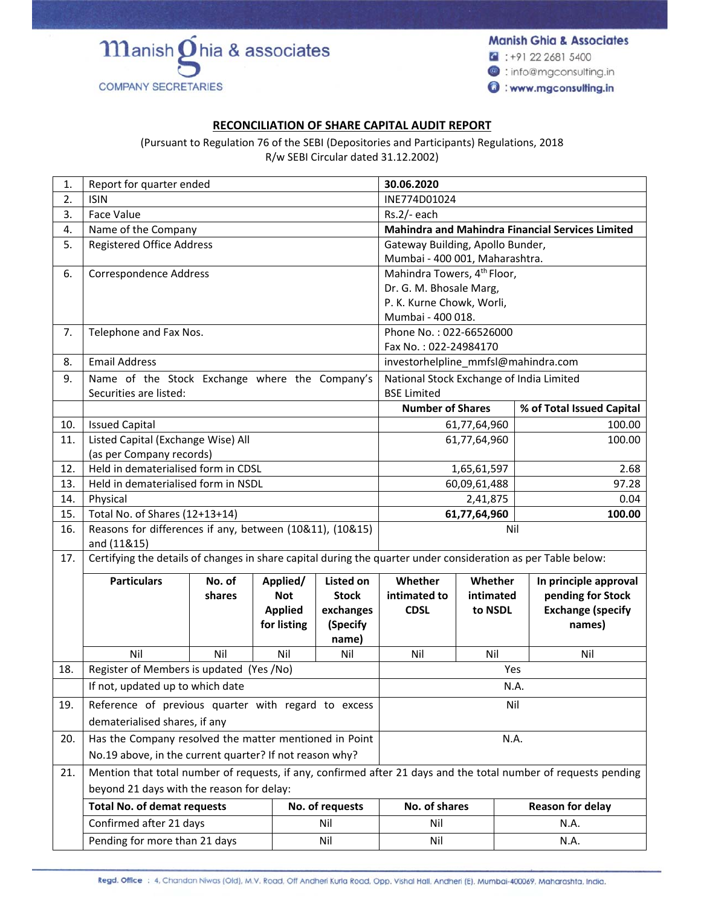**Manish Ghia & Associates** 

 $\bullet$  : +91 22 2681 5400

**@**: info@mgconsulting.in

www.mgconsulting.in

## **RECONCILIATION OF SHARE CAPITAL AUDIT REPORT**

 $m$ anish $\delta$ hia & associates

**COMPANY SECRETARIES** 

(Pursuant to Regulation 76 of the SEBI (Depositories and Participants) Regulations, 2018 R/w SEBI Circular dated 31.12.2002)

| 1.  | Report for quarter ended                                                                                      |                                                                                                                 | 30.06.2020                                                   |                                |                                                         |                         |                           |
|-----|---------------------------------------------------------------------------------------------------------------|-----------------------------------------------------------------------------------------------------------------|--------------------------------------------------------------|--------------------------------|---------------------------------------------------------|-------------------------|---------------------------|
| 2.  | <b>ISIN</b>                                                                                                   |                                                                                                                 |                                                              |                                | INE774D01024                                            |                         |                           |
| 3.  | Face Value                                                                                                    |                                                                                                                 |                                                              |                                | $Rs.2/-$ each                                           |                         |                           |
| 4.  | Name of the Company                                                                                           |                                                                                                                 |                                                              |                                | <b>Mahindra and Mahindra Financial Services Limited</b> |                         |                           |
| 5.  | <b>Registered Office Address</b>                                                                              |                                                                                                                 | Gateway Building, Apollo Bunder,                             |                                |                                                         |                         |                           |
|     |                                                                                                               |                                                                                                                 |                                                              | Mumbai - 400 001, Maharashtra. |                                                         |                         |                           |
| 6.  | Correspondence Address                                                                                        |                                                                                                                 |                                                              |                                | Mahindra Towers, 4 <sup>th</sup> Floor,                 |                         |                           |
|     |                                                                                                               |                                                                                                                 | Dr. G. M. Bhosale Marg,                                      |                                |                                                         |                         |                           |
|     |                                                                                                               |                                                                                                                 | P. K. Kurne Chowk, Worli,                                    |                                |                                                         |                         |                           |
|     |                                                                                                               |                                                                                                                 |                                                              |                                | Mumbai - 400 018.                                       |                         |                           |
| 7.  | Telephone and Fax Nos.                                                                                        |                                                                                                                 |                                                              |                                | Phone No.: 022-66526000                                 |                         |                           |
| 8.  | <b>Email Address</b>                                                                                          |                                                                                                                 | Fax No.: 022-24984170<br>investorhelpline_mmfsl@mahindra.com |                                |                                                         |                         |                           |
| 9.  | Name of the Stock Exchange where the Company's                                                                |                                                                                                                 |                                                              |                                | National Stock Exchange of India Limited                |                         |                           |
|     | Securities are listed:                                                                                        |                                                                                                                 |                                                              | <b>BSE Limited</b>             |                                                         |                         |                           |
|     |                                                                                                               |                                                                                                                 |                                                              |                                | <b>Number of Shares</b>                                 |                         | % of Total Issued Capital |
| 10. | <b>Issued Capital</b>                                                                                         |                                                                                                                 |                                                              |                                |                                                         | 61,77,64,960            | 100.00                    |
| 11. | Listed Capital (Exchange Wise) All                                                                            |                                                                                                                 |                                                              |                                |                                                         | 61,77,64,960            | 100.00                    |
|     | (as per Company records)                                                                                      |                                                                                                                 |                                                              |                                |                                                         |                         |                           |
| 12. | Held in dematerialised form in CDSL                                                                           |                                                                                                                 |                                                              |                                | 1,65,61,597                                             |                         | 2.68                      |
| 13. | Held in dematerialised form in NSDL                                                                           |                                                                                                                 |                                                              |                                | 60,09,61,488                                            |                         | 97.28                     |
| 14. | Physical                                                                                                      |                                                                                                                 |                                                              |                                | 2,41,875                                                |                         | 0.04                      |
| 15. | Total No. of Shares (12+13+14)                                                                                |                                                                                                                 |                                                              |                                | 61,77,64,960                                            |                         | 100.00                    |
| 16. | Reasons for differences if any, between (10&11), (10&15)                                                      |                                                                                                                 | Nil                                                          |                                |                                                         |                         |                           |
|     | and (11&15)                                                                                                   |                                                                                                                 |                                                              |                                |                                                         |                         |                           |
| 17. | Certifying the details of changes in share capital during the quarter under consideration as per Table below: |                                                                                                                 |                                                              |                                |                                                         |                         |                           |
|     | <b>Particulars</b>                                                                                            | No. of                                                                                                          | Applied/                                                     | <b>Listed on</b>               | Whether                                                 | Whether                 | In principle approval     |
|     |                                                                                                               | shares                                                                                                          | <b>Not</b>                                                   | <b>Stock</b>                   | intimated to                                            | intimated               | pending for Stock         |
|     |                                                                                                               |                                                                                                                 | <b>Applied</b>                                               | exchanges                      | <b>CDSL</b>                                             | to NSDL                 | <b>Exchange (specify</b>  |
|     |                                                                                                               |                                                                                                                 | for listing                                                  | (Specify                       |                                                         |                         | names)                    |
|     | Nil                                                                                                           | Nil                                                                                                             | Nil                                                          | name)<br>Nil                   | Nil                                                     | Nil                     | Nil                       |
| 18. |                                                                                                               |                                                                                                                 |                                                              |                                |                                                         |                         |                           |
|     | Register of Members is updated (Yes /No)<br>If not, updated up to which date                                  |                                                                                                                 |                                                              |                                | Yes<br>N.A.                                             |                         |                           |
| 19. | Reference of previous quarter with regard to excess                                                           |                                                                                                                 |                                                              |                                | Nil                                                     |                         |                           |
|     | dematerialised shares, if any                                                                                 |                                                                                                                 |                                                              |                                |                                                         |                         |                           |
| 20. | Has the Company resolved the matter mentioned in Point                                                        |                                                                                                                 |                                                              |                                | N.A.                                                    |                         |                           |
|     | No.19 above, in the current quarter? If not reason why?                                                       |                                                                                                                 |                                                              |                                |                                                         |                         |                           |
| 21. |                                                                                                               | Mention that total number of requests, if any, confirmed after 21 days and the total number of requests pending |                                                              |                                |                                                         |                         |                           |
|     | beyond 21 days with the reason for delay:                                                                     |                                                                                                                 |                                                              |                                |                                                         |                         |                           |
|     | <b>Total No. of demat requests</b><br>No. of requests                                                         |                                                                                                                 |                                                              | No. of shares                  |                                                         | <b>Reason for delay</b> |                           |
|     | Confirmed after 21 days                                                                                       |                                                                                                                 |                                                              | Nil                            | Nil                                                     |                         | N.A.                      |
|     | Pending for more than 21 days<br>Nil                                                                          |                                                                                                                 |                                                              | Nil<br>N.A.                    |                                                         |                         |                           |